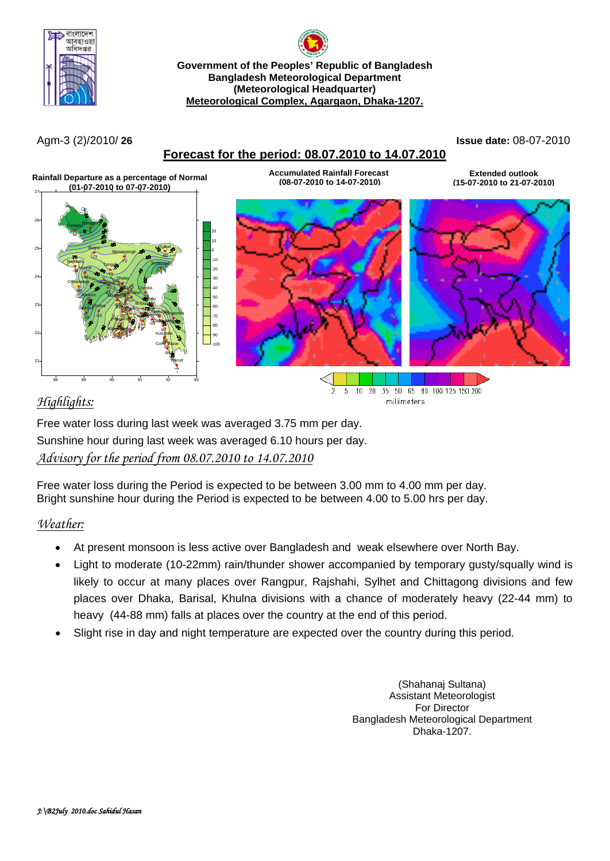

**Government of the Peoples' Republic of Bangladesh Bangladesh Meteorological Department (Meteorological Headquarter) Meteorological Complex, Agargaon, Dhaka-1207.**

### **Forecast for the period: 08.07.2010 to 14.07.2010**

Agm-3 (2)/2010/ **26 Issue date:** 08-07-2010



# *Highlights:*

Free water loss during last week was averaged 3.75 mm per day. Sunshine hour during last week was averaged 6.10 hours per day. *Advisory for the period from 08.07.2010 to 14.07.2010*

Free water loss during the Period is expected to be between 3.00 mm to 4.00 mm per day. Bright sunshine hour during the Period is expected to be between 4.00 to 5.00 hrs per day.

## *Weather:*

- At present monsoon is less active over Bangladesh and weak elsewhere over North Bay.
- Light to moderate (10-22mm) rain/thunder shower accompanied by temporary gusty/squally wind is likely to occur at many places over Rangpur, Rajshahi, Sylhet and Chittagong divisions and few places over Dhaka, Barisal, Khulna divisions with a chance of moderately heavy (22-44 mm) to heavy (44-88 mm) falls at places over the country at the end of this period.
- Slight rise in day and night temperature are expected over the country during this period.

(Shahanaj Sultana) Assistant Meteorologist For Director Bangladesh Meteorological Department Dhaka-1207.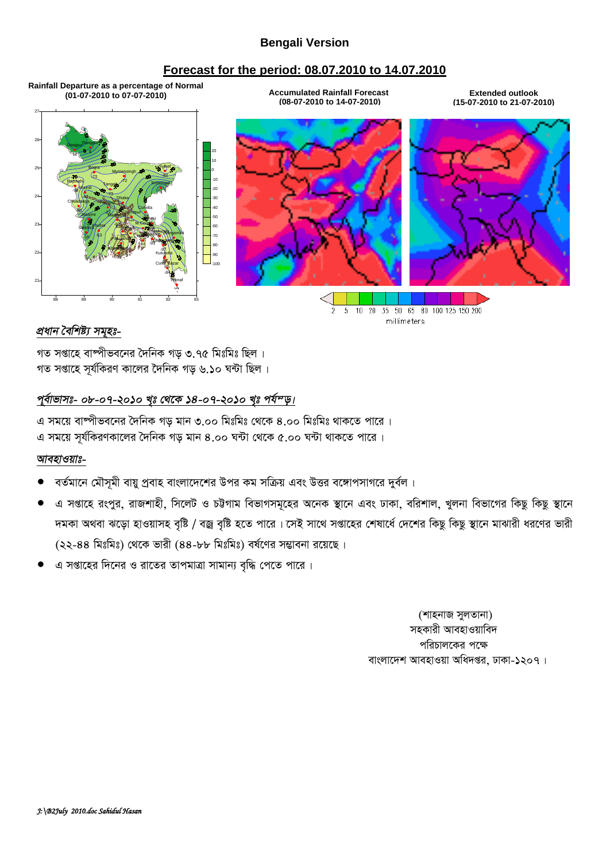### **Bengali Version**

#### **Forecast for the period: 08.07.2010 to 14.07.2010**

**Rainfall Departure as a percentage of Normal (01-07-2010 to 07-07-2010) Accumulated Rainfall Forecast**

88 89 90 91 92 93 21 22 23 24 25 26 27 Dhaka **Mymensingh** Faridpur Madaripur Tangail **Chatacoping** Sitakunda <sub>Ra</sub>ngamati Coxs<sup>t</sup> Bazar Teknaf Haley Strowing Kutu<mark>b</mark>dia Feni M.Court Chandpur Comilla Sylhet  $\mathsf{Rajshahj}$   $\mathsf{Rajshahj}$   $\mathsf{Srimongal}$ Bogra Dinajpur Bangpur Ishurdi Khulna Jessore Chuadanga Satkhira Pulpa / Bansslaen Patuakhali Khepupara -51 -72 -22 -63 -73 -97 -9830 perdi -84 \*\*\*  $\leftrightarrow$  -91 -87 -56 \*\*\* \*\*\* -34 -82  $-8/6 - 99 = 2$ -73  $12 - 5$  $\leftrightarrow$ -53 -13 -80  $-16$  /  $3<sup>5</sup>$   $\frac{1}{2}$   $\frac{1}{2}$   $\frac{1}{2}$   $\frac{1}{2}$   $\frac{1}{2}$ -65 -78  $\mathbf{0}$ 10 20 **(08-07-2010 to 14-07-2010)**

**Extended outlook (15-07-2010 to 21-07-2010)**



millimeters

#### *প্ৰধান বৈশিষ্ট্য সমুহঃ-*

গত সপ্তাহে বাষ্পীভবনের দৈনিক গড় ৩.৭৫ মিঃমিঃ ছিল। গত সপ্তাহে সূৰ্যকিৱণ কালেৱ দৈনিক গড় ৬.**১**০ ঘন্টা ছিল।

### পূর্বাভাসঃ- ০৮-০৭-২০১০ খৃঃ থেকে ১৪-০৭-২০১০ খৃঃ পর্য<sup>ন</sup>ড়।

এ সময়ে বাম্পীভবনের দৈনিক গড মান ৩.০০ মিঃমিঃ থেকে ৪.০০ মিঃমিঃ থাকতে পারে । এ সময়ে সূর্যকিরণকালের দৈনিক গড় মান ৪.০০ ঘন্টা থেকে ৫.০০ ঘন্টা থাকতে পারে।

#### *আবহাওয়াঃ-*

- বর্তমানে মৌসমী বায়ু প্রবাহ বাংলাদেশের উপর কম সক্রিয় এবং উত্তর বঙ্গোপসাগরে দুর্বল।
- এ সপ্তাহে রংপুর, রাজশাহী, সিলেট ও চট্টগাম বিভাগসমূহের অনেক স্থানে এবং ঢাকা, বরিশাল, খুলনা বিভাগের কিছু কিছু স্থানে দমকা অথবা ঝড়ো হাওয়াসহ বৃষ্টি / বজ্ৰ বৃষ্টি হতে পারে । সেই সাথে সপ্তাহের শেষার্ধে দেশের কিছু কিছু স্থানে মাঝারী ধরণের ভারী (২২-88 মিঃমিঃ) থেকে ভারী (৪৪-৮৮ মিঃমিঃ) বর্ষণের সম্ভাবনা রয়েছে।
- এ সপ্তাহের দিনের ও রাতের তাপমাত্রা সামান্য বৃদ্ধি পেতে পারে।

(শাহনাজ সুলতানা) সহকারী আবহাওয়াবিদ পরিচালকের পক্ষে বাংলাদেশ আবহাওয়া অধিদপ্তর, ঢাকা-১২০৭।